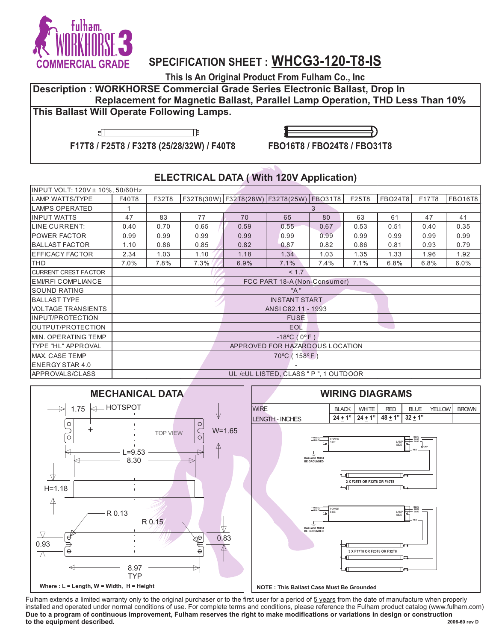

## **SPECIFICATION SHEET : WHCG3-120-T8-IS**

**This Is An Original Product From Fulham Co., Inc**

**Description : WORKHORSE Commercial Grade Series Electronic Ballast, Drop In Replacement for Magnetic Ballast, Parallel Lamp Operation, THD Less Than 10%** 

## **This Ballast Will Operate Following Lamps.**

盯



**F17T8 / F25T8 / F32T8 (25/28/32W) / F40T8**

# **FBO16T8 / FBO24T8 / FBO31T8**

#### **ELECTRICAL DATA ( With 120V Application)**

| INPUT VOLT: 120V ± 10%, 50/60Hz |                                        |       |                                          |      |                            |      |       |                |       |                |
|---------------------------------|----------------------------------------|-------|------------------------------------------|------|----------------------------|------|-------|----------------|-------|----------------|
| <b>LAMP WATTS/TYPE</b>          | F40T8                                  | F32T8 | F32T8(30W) F32T8(28W) F32T8(25W) FBO31T8 |      |                            |      | F25T8 | <b>FBO24T8</b> | F17T8 | <b>FBO16T8</b> |
| <b>LAMPS OPERATED</b>           | 1<br>3                                 |       |                                          |      |                            |      |       |                |       |                |
| <b>INPUT WATTS</b>              | 47                                     | 83    | 77                                       | 70   | 65                         | 80   | 63    | 61             | 47    | 41             |
| LINE CURRENT:                   | 0.40                                   | 0.70  | 0.65                                     | 0.59 | 0.55                       | 0.67 | 0.53  | 0.51           | 0.40  | 0.35           |
| <b>POWER FACTOR</b>             | 0.99                                   | 0.99  | 0.99                                     | 0.99 | 0.99                       | 0.99 | 0.99  | 0.99           | 0.99  | 0.99           |
| <b>BALLAST FACTOR</b>           | 1.10                                   | 0.86  | 0.85                                     | 0.82 | 0.87                       | 0.82 | 0.86  | 0.81           | 0.93  | 0.79           |
| EFFICACY FACTOR                 | 2.34                                   | 1.03  | 1.10                                     | 1.18 | 1.34                       | 1.03 | 1.35  | 1.33           | 1.96  | 1.92           |
| <b>THD</b>                      | 7.0%                                   | 7.8%  | 7.3%                                     | 6.9% | 7.1%                       | 7.4% | 7.1%  | 6.8%           | 6.8%  | 6.0%           |
| <b>CURRENT CREST FACTOR</b>     |                                        |       |                                          |      | < 1.7                      |      |       |                |       |                |
| <b>EMI/RFI COMPLIANCE</b>       | FCC PART 18-A (Non-Consumer)           |       |                                          |      |                            |      |       |                |       |                |
| <b>SOUND RATING</b>             |                                        |       |                                          |      | "A"                        |      |       |                |       |                |
| <b>BALLAST TYPE</b>             | <b>INSTANT START</b>                   |       |                                          |      |                            |      |       |                |       |                |
| <b>VOLTAGE TRANSIENTS</b>       | ANSI C82.11 - 1993                     |       |                                          |      |                            |      |       |                |       |                |
| INPUT/PROTECTION                |                                        |       |                                          |      | <b>FUSE</b>                |      |       |                |       |                |
| OUTPUT/PROTECTION               |                                        |       |                                          |      | <b>EOL</b>                 |      |       |                |       |                |
| MIN. OPERATING TEMP             |                                        |       |                                          |      | $-18^{\circ}C(0^{\circ}F)$ |      |       |                |       |                |
| <b>TYPE "HL" APPROVAL</b>       | APPROVED FOR HAZARDOUS LOCATION        |       |                                          |      |                            |      |       |                |       |                |
| MAX. CASE TEMP                  | 70°C (158°F)                           |       |                                          |      |                            |      |       |                |       |                |
| <b>ENERGY STAR 4.0</b>          |                                        |       |                                          |      |                            |      |       |                |       |                |
| <b>APPROVALS/CLASS</b>          | UL /cUL LISTED, CLASS " P ", 1 OUTDOOR |       |                                          |      |                            |      |       |                |       |                |





 **2006-60 rev D** Fulham extends a limited warranty only to the original purchaser or to the first user for a period of  $5$  years from the date of manufacture when properly installed and operated under normal conditions of use. For complete terms and conditions, please reference the Fulham product catalog (www.fulham.com) **Due to a program of continuous improvement, Fulham reserves the right to make modifications or variations in design or construction to the equipment described.**